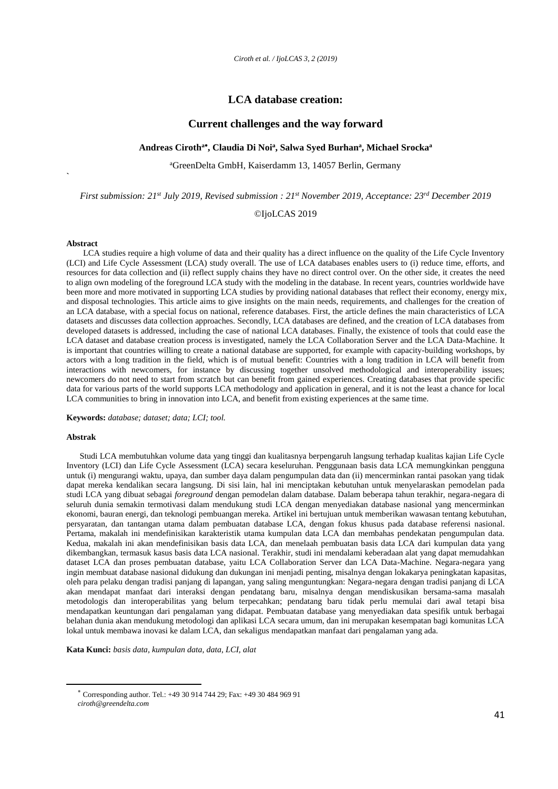## **LCA database creation:**

### **Current challenges and the way forward**

### **Andreas Ciroth<sup>a</sup> , Claudia Di Noi<sup>a</sup> , Salwa Syed Burhan<sup>a</sup> , Michael Srocka<sup>a</sup>**

<sup>a</sup>GreenDelta GmbH, Kaiserdamm 13, 14057 Berlin, Germany

*First submission: 21st July 2019, Revised submission : 21st November 2019, Acceptance: 23rd December 2019*

### ©IjoLCAS 2019

#### **Abstract**

**`**

LCA studies require a high volume of data and their quality has a direct influence on the quality of the Life Cycle Inventory (LCI) and Life Cycle Assessment (LCA) study overall. The use of LCA databases enables users to (i) reduce time, efforts, and resources for data collection and (ii) reflect supply chains they have no direct control over. On the other side, it creates the need to align own modeling of the foreground LCA study with the modeling in the database. In recent years, countries worldwide have been more and more motivated in supporting LCA studies by providing national databases that reflect their economy, energy mix, and disposal technologies. This article aims to give insights on the main needs, requirements, and challenges for the creation of an LCA database, with a special focus on national, reference databases. First, the article defines the main characteristics of LCA datasets and discusses data collection approaches. Secondly, LCA databases are defined, and the creation of LCA databases from developed datasets is addressed, including the case of national LCA databases. Finally, the existence of tools that could ease the LCA dataset and database creation process is investigated, namely the LCA Collaboration Server and the LCA Data-Machine. It is important that countries willing to create a national database are supported, for example with capacity-building workshops, by actors with a long tradition in the field, which is of mutual benefit: Countries with a long tradition in LCA will benefit from interactions with newcomers, for instance by discussing together unsolved methodological and interoperability issues; newcomers do not need to start from scratch but can benefit from gained experiences. Creating databases that provide specific data for various parts of the world supports LCA methodology and application in general, and it is not the least a chance for local LCA communities to bring in innovation into LCA, and benefit from existing experiences at the same time.

#### **Keywords:** *database; dataset; data; LCI; tool.*

#### **Abstrak**

Studi LCA membutuhkan volume data yang tinggi dan kualitasnya berpengaruh langsung terhadap kualitas kajian Life Cycle Inventory (LCI) dan Life Cycle Assessment (LCA) secara keseluruhan. Penggunaan basis data LCA memungkinkan pengguna untuk (i) mengurangi waktu, upaya, dan sumber daya dalam pengumpulan data dan (ii) mencerminkan rantai pasokan yang tidak dapat mereka kendalikan secara langsung. Di sisi lain, hal ini menciptakan kebutuhan untuk menyelaraskan pemodelan pada studi LCA yang dibuat sebagai *foreground* dengan pemodelan dalam database. Dalam beberapa tahun terakhir, negara-negara di seluruh dunia semakin termotivasi dalam mendukung studi LCA dengan menyediakan database nasional yang mencerminkan ekonomi, bauran energi, dan teknologi pembuangan mereka. Artikel ini bertujuan untuk memberikan wawasan tentang kebutuhan, persyaratan, dan tantangan utama dalam pembuatan database LCA, dengan fokus khusus pada database referensi nasional. Pertama, makalah ini mendefinisikan karakteristik utama kumpulan data LCA dan membahas pendekatan pengumpulan data. Kedua, makalah ini akan mendefinisikan basis data LCA, dan menelaah pembuatan basis data LCA dari kumpulan data yang dikembangkan, termasuk kasus basis data LCA nasional. Terakhir, studi ini mendalami keberadaan alat yang dapat memudahkan dataset LCA dan proses pembuatan database, yaitu LCA Collaboration Server dan LCA Data-Machine. Negara-negara yang ingin membuat database nasional didukung dan dukungan ini menjadi penting, misalnya dengan lokakarya peningkatan kapasitas, oleh para pelaku dengan tradisi panjang di lapangan, yang saling menguntungkan: Negara-negara dengan tradisi panjang di LCA akan mendapat manfaat dari interaksi dengan pendatang baru, misalnya dengan mendiskusikan bersama-sama masalah metodologis dan interoperabilitas yang belum terpecahkan; pendatang baru tidak perlu memulai dari awal tetapi bisa mendapatkan keuntungan dari pengalaman yang didapat. Pembuatan database yang menyediakan data spesifik untuk berbagai belahan dunia akan mendukung metodologi dan aplikasi LCA secara umum, dan ini merupakan kesempatan bagi komunitas LCA lokal untuk membawa inovasi ke dalam LCA, dan sekaligus mendapatkan manfaat dari pengalaman yang ada.

**Kata Kunci:** *basis data, kumpulan data, data, LCI, alat*

 $\overline{a}$ 

Corresponding author. Tel.: +49 30 914 744 29; Fax: +49 30 484 969 91

*ciroth@greendelta.com*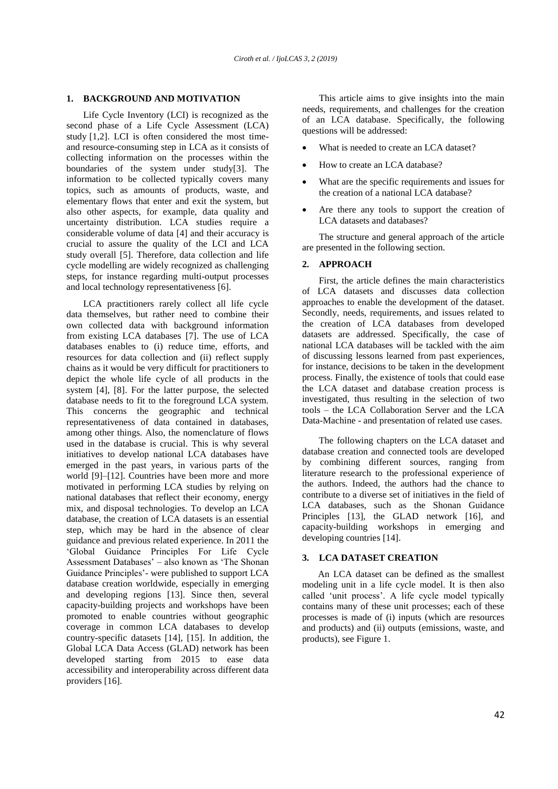### **1. BACKGROUND AND MOTIVATION**

Life Cycle Inventory (LCI) is recognized as the second phase of a Life Cycle Assessment (LCA) study [1,2]. LCI is often considered the most timeand resource-consuming step in LCA as it consists of collecting information on the processes within the boundaries of the system under study[3]. The information to be collected typically covers many topics, such as amounts of products, waste, and elementary flows that enter and exit the system, but also other aspects, for example, data quality and uncertainty distribution. LCA studies require a considerable volume of data [4] and their accuracy is crucial to assure the quality of the LCI and LCA study overall [5]. Therefore, data collection and life cycle modelling are widely recognized as challenging steps, for instance regarding multi-output processes and local technology representativeness [6].

LCA practitioners rarely collect all life cycle data themselves, but rather need to combine their own collected data with background information from existing LCA databases [7]. The use of LCA databases enables to (i) reduce time, efforts, and resources for data collection and (ii) reflect supply chains as it would be very difficult for practitioners to depict the whole life cycle of all products in the system [4], [8]. For the latter purpose, the selected database needs to fit to the foreground LCA system. This concerns the geographic and technical representativeness of data contained in databases, among other things. Also, the nomenclature of flows used in the database is crucial. This is why several initiatives to develop national LCA databases have emerged in the past years, in various parts of the world [9]–[12]. Countries have been more and more motivated in performing LCA studies by relying on national databases that reflect their economy, energy mix, and disposal technologies. To develop an LCA database, the creation of LCA datasets is an essential step, which may be hard in the absence of clear guidance and previous related experience. In 2011 the 'Global Guidance Principles For Life Cycle Assessment Databases' – also known as 'The Shonan Guidance Principles'- were published to support LCA database creation worldwide, especially in emerging and developing regions [13]. Since then, several capacity-building projects and workshops have been promoted to enable countries without geographic coverage in common LCA databases to develop country-specific datasets [14], [15]. In addition, the Global LCA Data Access (GLAD) network has been developed starting from 2015 to ease data accessibility and interoperability across different data providers [16].

This article aims to give insights into the main needs, requirements, and challenges for the creation of an LCA database. Specifically, the following questions will be addressed:

- What is needed to create an LCA dataset?
- How to create an LCA database?
- What are the specific requirements and issues for the creation of a national LCA database?
- Are there any tools to support the creation of LCA datasets and databases?

The structure and general approach of the article are presented in the following section.

#### **2. APPROACH**

First, the article defines the main characteristics of LCA datasets and discusses data collection approaches to enable the development of the dataset. Secondly, needs, requirements, and issues related to the creation of LCA databases from developed datasets are addressed. Specifically, the case of national LCA databases will be tackled with the aim of discussing lessons learned from past experiences, for instance, decisions to be taken in the development process. Finally, the existence of tools that could ease the LCA dataset and database creation process is investigated, thus resulting in the selection of two tools – the LCA Collaboration Server and the LCA Data-Machine - and presentation of related use cases.

The following chapters on the LCA dataset and database creation and connected tools are developed by combining different sources, ranging from literature research to the professional experience of the authors. Indeed, the authors had the chance to contribute to a diverse set of initiatives in the field of LCA databases, such as the Shonan Guidance Principles [13], the GLAD network [16], and capacity-building workshops in emerging and developing countries [14].

### <span id="page-1-0"></span>**3. LCA DATASET CREATION**

An LCA dataset can be defined as the smallest modeling unit in a life cycle model. It is then also called 'unit process'. A life cycle model typically contains many of these unit processes; each of these processes is made of (i) inputs (which are resources and products) and (ii) outputs (emissions, waste, and products), see [Figure 1.](#page-2-0)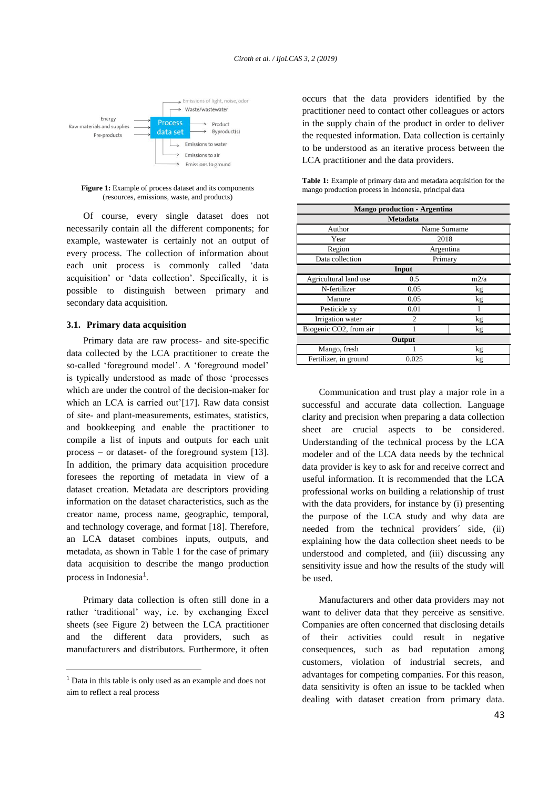

<span id="page-2-0"></span>Figure 1: Example of process dataset and its components (resources, emissions, waste, and products)

Of course, every single dataset does not necessarily contain all the different components; for example, wastewater is certainly not an output of every process. The collection of information about each unit process is commonly called 'data acquisition' or 'data collection'. Specifically, it is possible to distinguish between primary and secondary data acquisition.

#### **3.1. Primary data acquisition**

Primary data are raw process- and site-specific data collected by the LCA practitioner to create the so-called 'foreground model'. A 'foreground model' is typically understood as made of those 'processes which are under the control of the decision-maker for which an LCA is carried out'[17]. Raw data consist of site- and plant-measurements, estimates, statistics, and bookkeeping and enable the practitioner to compile a list of inputs and outputs for each unit process – or dataset- of the foreground system [13]. In addition, the primary data acquisition procedure foresees the reporting of metadata in view of a dataset creation. Metadata are descriptors providing information on the dataset characteristics, such as the creator name, process name, geographic, temporal, and technology coverage, and format [18]. Therefore, an LCA dataset combines inputs, outputs, and metadata, as shown in [Table 1](#page-2-1) for the case of primary data acquisition to describe the mango production process in Indonesia<sup>1</sup>.

Primary data collection is often still done in a rather 'traditional' way, i.e. by exchanging Excel sheets (see [Figure 2\)](#page-3-0) between the LCA practitioner and the different data providers, such as manufacturers and distributors. Furthermore, it often

 $\overline{a}$ 

occurs that the data providers identified by the practitioner need to contact other colleagues or actors in the supply chain of the product in order to deliver the requested information. Data collection is certainly to be understood as an iterative process between the LCA practitioner and the data providers.

<span id="page-2-1"></span>

| <b>Table 1:</b> Example of primary data and metadata acquisition for the |
|--------------------------------------------------------------------------|
| mango production process in Indonesia, principal data                    |

| <b>Mango production - Argentina</b> |           |      |  |  |  |  |
|-------------------------------------|-----------|------|--|--|--|--|
| <b>Metadata</b>                     |           |      |  |  |  |  |
| Author<br>Name Surname              |           |      |  |  |  |  |
| Year                                | 2018      |      |  |  |  |  |
| Region                              | Argentina |      |  |  |  |  |
| Data collection                     | Primary   |      |  |  |  |  |
| Input                               |           |      |  |  |  |  |
| Agricultural land use               | 0.5       | m2/a |  |  |  |  |
| N-fertilizer                        | 0.05      | kg   |  |  |  |  |
| Manure                              | 0.05      | kg   |  |  |  |  |
| Pesticide xy                        | 0.01      |      |  |  |  |  |
| Irrigation water                    | 2         | kg   |  |  |  |  |
| Biogenic CO2, from air              |           | kg   |  |  |  |  |
| Output                              |           |      |  |  |  |  |
| Mango, fresh                        |           | kg   |  |  |  |  |
| Fertilizer, in ground               | 0.025     | kg   |  |  |  |  |

Communication and trust play a major role in a successful and accurate data collection. Language clarity and precision when preparing a data collection sheet are crucial aspects to be considered. Understanding of the technical process by the LCA modeler and of the LCA data needs by the technical data provider is key to ask for and receive correct and useful information. It is recommended that the LCA professional works on building a relationship of trust with the data providers, for instance by (i) presenting the purpose of the LCA study and why data are needed from the technical providers´ side, (ii) explaining how the data collection sheet needs to be understood and completed, and (iii) discussing any sensitivity issue and how the results of the study will be used.

Manufacturers and other data providers may not want to deliver data that they perceive as sensitive. Companies are often concerned that disclosing details of their activities could result in negative consequences, such as bad reputation among customers, violation of industrial secrets, and advantages for competing companies. For this reason, data sensitivity is often an issue to be tackled when dealing with dataset creation from primary data.

<sup>1</sup> Data in this table is only used as an example and does not aim to reflect a real process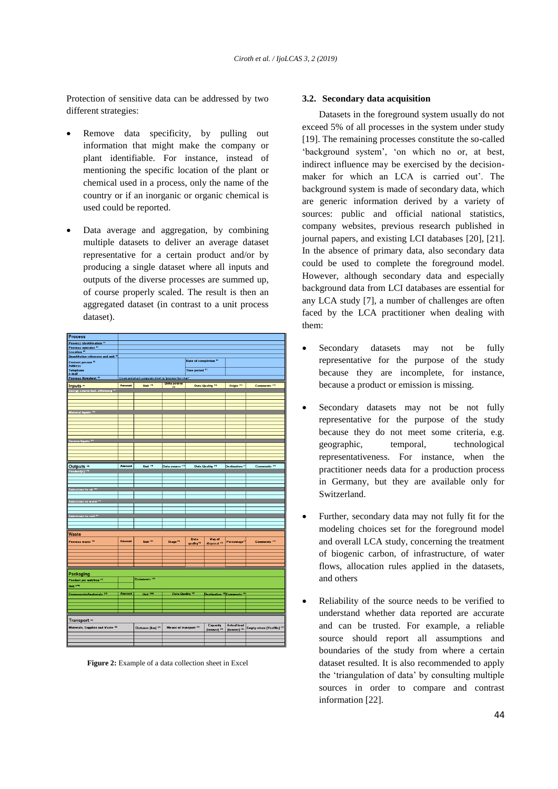Protection of sensitive data can be addressed by two different strategies:

- Remove data specificity, by pulling out information that might make the company or plant identifiable. For instance, instead of mentioning the specific location of the plant or chemical used in a process, only the name of the country or if an inorganic or organic chemical is used could be reported.
- Data average and aggregation, by combining multiple datasets to deliver an average dataset representative for a certain product and/or by producing a single dataset where all inputs and outputs of the diverse processes are summed up, of course properly scaled. The result is then an aggregated dataset (in contrast to a unit process dataset).

| <b>Process</b>                                               |               |                                                              |                            |                                       |                                                  |                                  |                               |
|--------------------------------------------------------------|---------------|--------------------------------------------------------------|----------------------------|---------------------------------------|--------------------------------------------------|----------------------------------|-------------------------------|
| <b>Process identification IST</b>                            |               |                                                              |                            |                                       |                                                  |                                  |                               |
| Process operator <sup>18</sup>                               |               |                                                              |                            |                                       |                                                  |                                  |                               |
| Location <sup>10</sup><br>Quantitative reference and unit 14 |               |                                                              |                            |                                       |                                                  |                                  |                               |
| Contact person <sup>18</sup><br>Address                      |               |                                                              |                            | Date of completion <sup>181</sup>     |                                                  |                                  |                               |
| <b>Telephone</b>                                             |               |                                                              |                            | Time period <sup>[2]</sup>            |                                                  |                                  |                               |
| e-mail<br>Process flowsheet III                              |               |                                                              |                            |                                       |                                                  |                                  |                               |
|                                                              |               | Create and attach a separate sheet i.e. "process flow chart" | <u>Data source</u>         |                                       |                                                  |                                  |                               |
| Inputs #                                                     | Amount        | Unit <sup>191</sup>                                          | <b>HE</b>                  |                                       | <b>Data Quality 101</b>                          | Origin <sup>198</sup>            | <b>Comments<sup>114</sup></b> |
| Energy source incl. efficiency 195                           |               |                                                              |                            |                                       |                                                  |                                  |                               |
|                                                              |               |                                                              |                            |                                       |                                                  |                                  |                               |
|                                                              |               |                                                              |                            |                                       |                                                  |                                  |                               |
|                                                              |               |                                                              |                            |                                       |                                                  |                                  |                               |
| Material Inputs <sup>101</sup>                               |               |                                                              |                            |                                       |                                                  |                                  |                               |
|                                                              |               |                                                              |                            |                                       |                                                  |                                  |                               |
|                                                              |               |                                                              |                            |                                       |                                                  |                                  |                               |
|                                                              |               |                                                              |                            |                                       |                                                  |                                  |                               |
|                                                              |               |                                                              |                            |                                       |                                                  |                                  |                               |
| Service Inputs <sup>101</sup>                                |               |                                                              |                            |                                       |                                                  |                                  |                               |
|                                                              |               |                                                              |                            |                                       |                                                  |                                  |                               |
|                                                              |               |                                                              |                            |                                       |                                                  |                                  |                               |
|                                                              |               |                                                              |                            |                                       |                                                  |                                  |                               |
| Outputs ##                                                   | <b>Amount</b> | Unit <sup>191</sup>                                          | Data source Ittl           |                                       | <b>Data Quality 19</b>                           | <b>Destination</b> <sup>11</sup> | Comments <sup>114</sup>       |
| Product[s] <sup>[13]</sup>                                   |               |                                                              |                            |                                       |                                                  |                                  |                               |
|                                                              |               |                                                              |                            |                                       |                                                  |                                  |                               |
|                                                              |               |                                                              |                            |                                       |                                                  |                                  |                               |
| Emissions to air 1211                                        |               |                                                              |                            |                                       |                                                  |                                  |                               |
|                                                              |               |                                                              |                            |                                       |                                                  |                                  |                               |
| Emissions to water <sup>(21)</sup>                           |               |                                                              |                            |                                       |                                                  |                                  |                               |
|                                                              |               |                                                              |                            |                                       |                                                  |                                  |                               |
|                                                              |               |                                                              |                            |                                       |                                                  |                                  |                               |
| Emissions to soil <sup>[23]</sup>                            |               |                                                              |                            |                                       |                                                  |                                  |                               |
|                                                              |               |                                                              |                            |                                       |                                                  |                                  |                               |
|                                                              |               |                                                              |                            |                                       |                                                  |                                  |                               |
| <b>Waste</b>                                                 |               |                                                              |                            |                                       |                                                  |                                  |                               |
| Process waste <sup>[3]</sup>                                 | Amount        | Unit <sup>191</sup>                                          | <b>Stage<sup>114</sup></b> | <b>Data</b><br>quality <sup>101</sup> | Way of<br>disposal <sup>[13]</sup>               | Percentage <sup>12</sup>         | Comments <sup>114</sup>       |
|                                                              |               |                                                              |                            |                                       |                                                  |                                  |                               |
|                                                              |               |                                                              |                            |                                       |                                                  |                                  |                               |
|                                                              |               |                                                              |                            |                                       |                                                  |                                  |                               |
|                                                              |               |                                                              |                            |                                       |                                                  |                                  |                               |
| Packaging                                                    |               |                                                              |                            |                                       |                                                  |                                  |                               |
| Product per unit/box <sup>121</sup>                          |               | Comments <sup>191</sup>                                      |                            |                                       |                                                  |                                  |                               |
| Unit <sup>120</sup> 1                                        |               |                                                              |                            |                                       |                                                  |                                  |                               |
|                                                              |               |                                                              |                            |                                       |                                                  |                                  |                               |
| <b>Components/materials 138</b>                              | Amount        | Unit 1991                                                    | <b>Data Quality 181</b>    |                                       | Destination <sup>n</sup> Comments <sup>191</sup> |                                  |                               |
|                                                              |               |                                                              |                            |                                       |                                                  |                                  |                               |
|                                                              |               |                                                              |                            |                                       |                                                  |                                  |                               |
|                                                              |               |                                                              |                            |                                       |                                                  |                                  |                               |
| Transport m                                                  |               |                                                              |                            |                                       |                                                  |                                  |                               |
|                                                              |               |                                                              |                            |                                       | Capacity                                         | <b>Actual load</b>               |                               |
| Materials, Supplies and Waste 181                            |               | Distance (km) [11]                                           | Means of transport IMI     |                                       | (tonnes) [15]                                    | (tonnes) 199                     | Empty return (Yes/No) [17]    |
|                                                              |               |                                                              |                            |                                       |                                                  |                                  |                               |
|                                                              |               |                                                              |                            |                                       |                                                  |                                  |                               |
|                                                              |               |                                                              |                            |                                       |                                                  |                                  |                               |

<span id="page-3-0"></span>Figure 2: Example of a data collection sheet in Excel

#### <span id="page-3-1"></span>**3.2. Secondary data acquisition**

Datasets in the foreground system usually do not exceed 5% of all processes in the system under study [19]. The remaining processes constitute the so-called 'background system', 'on which no or, at best, indirect influence may be exercised by the decisionmaker for which an LCA is carried out'. The background system is made of secondary data, which are generic information derived by a variety of sources: public and official national statistics, company websites, previous research published in journal papers, and existing LCI databases [20], [21]. In the absence of primary data, also secondary data could be used to complete the foreground model. However, although secondary data and especially background data from LCI databases are essential for any LCA study [7], a number of challenges are often faced by the LCA practitioner when dealing with them:

- Secondary datasets may not be fully representative for the purpose of the study because they are incomplete, for instance, because a product or emission is missing.
- Secondary datasets may not be not fully representative for the purpose of the study because they do not meet some criteria, e.g. geographic, temporal, technological representativeness. For instance, when the practitioner needs data for a production process in Germany, but they are available only for Switzerland.
- Further, secondary data may not fully fit for the modeling choices set for the foreground model and overall LCA study, concerning the treatment of biogenic carbon, of infrastructure, of water flows, allocation rules applied in the datasets, and others
- Reliability of the source needs to be verified to understand whether data reported are accurate and can be trusted. For example, a reliable source should report all assumptions and boundaries of the study from where a certain dataset resulted. It is also recommended to apply the 'triangulation of data' by consulting multiple sources in order to compare and contrast information [22].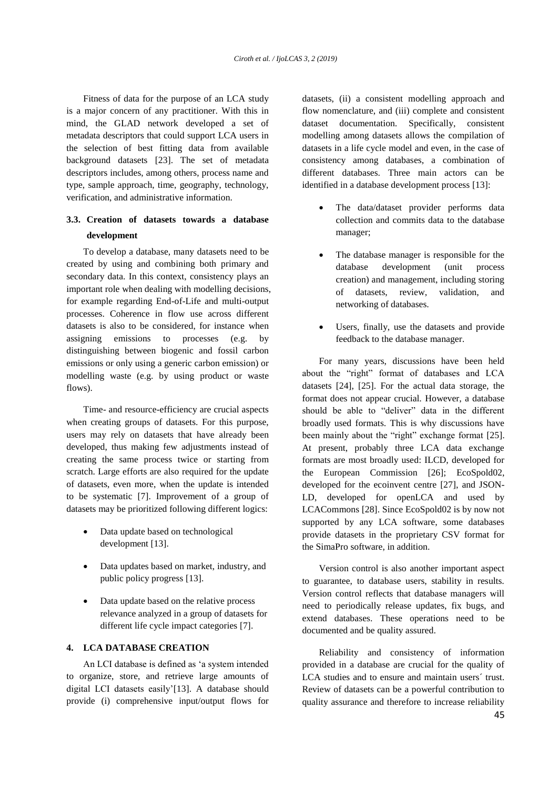Fitness of data for the purpose of an LCA study is a major concern of any practitioner. With this in mind, the GLAD network developed a set of metadata descriptors that could support LCA users in the selection of best fitting data from available background datasets [23]. The set of metadata descriptors includes, among others, process name and type, sample approach, time, geography, technology, verification, and administrative information.

# **3.3. Creation of datasets towards a database development**

To develop a database, many datasets need to be created by using and combining both primary and secondary data. In this context, consistency plays an important role when dealing with modelling decisions, for example regarding End-of-Life and multi-output processes. Coherence in flow use across different datasets is also to be considered, for instance when assigning emissions to processes (e.g. by distinguishing between biogenic and fossil carbon emissions or only using a generic carbon emission) or modelling waste (e.g. by using product or waste flows).

Time- and resource-efficiency are crucial aspects when creating groups of datasets. For this purpose, users may rely on datasets that have already been developed, thus making few adjustments instead of creating the same process twice or starting from scratch. Large efforts are also required for the update of datasets, even more, when the update is intended to be systematic [7]. Improvement of a group of datasets may be prioritized following different logics:

- Data update based on technological development [13].
- Data updates based on market, industry, and public policy progress [13].
- Data update based on the relative process relevance analyzed in a group of datasets for different life cycle impact categories [7].

### <span id="page-4-0"></span>**4. LCA DATABASE CREATION**

An LCI database is defined as 'a system intended to organize, store, and retrieve large amounts of digital LCI datasets easily'[13]. A database should provide (i) comprehensive input/output flows for datasets, (ii) a consistent modelling approach and flow nomenclature, and (iii) complete and consistent dataset documentation. Specifically, consistent modelling among datasets allows the compilation of datasets in a life cycle model and even, in the case of consistency among databases, a combination of different databases. Three main actors can be identified in a database development process [13]:

- The data/dataset provider performs data collection and commits data to the database manager;
- The database manager is responsible for the database development (unit process creation) and management, including storing of datasets, review, validation, and networking of databases.
- Users, finally, use the datasets and provide feedback to the database manager.

For many years, discussions have been held about the "right" format of databases and LCA datasets [24], [25]. For the actual data storage, the format does not appear crucial. However, a database should be able to "deliver" data in the different broadly used formats. This is why discussions have been mainly about the "right" exchange format [25]. At present, probably three LCA data exchange formats are most broadly used: ILCD, developed for the European Commission [26]; EcoSpold02, developed for the ecoinvent centre [27], and JSON-LD, developed for openLCA and used by LCACommons [28]. Since EcoSpold02 is by now not supported by any LCA software, some databases provide datasets in the proprietary CSV format for the SimaPro software, in addition.

Version control is also another important aspect to guarantee, to database users, stability in results. Version control reflects that database managers will need to periodically release updates, fix bugs, and extend databases. These operations need to be documented and be quality assured.

Reliability and consistency of information provided in a database are crucial for the quality of LCA studies and to ensure and maintain users´ trust. Review of datasets can be a powerful contribution to quality assurance and therefore to increase reliability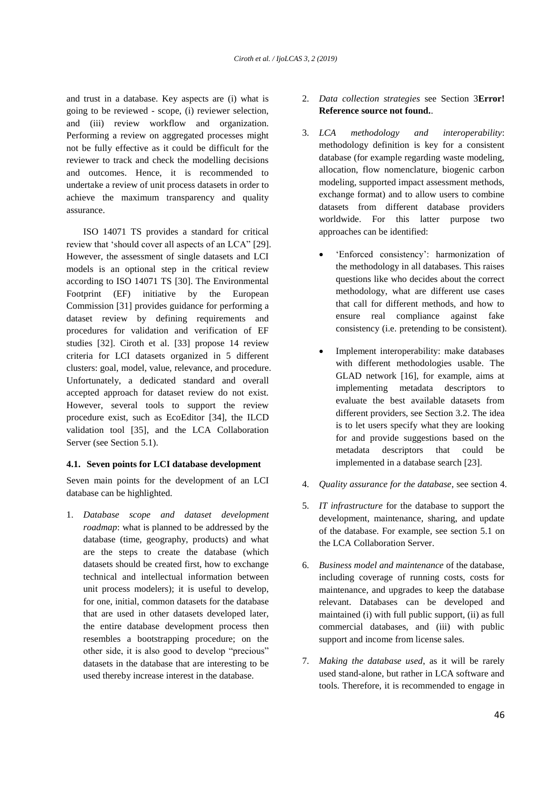and trust in a database. Key aspects are (i) what is going to be reviewed - scope, (i) reviewer selection, and (iii) review workflow and organization. Performing a review on aggregated processes might not be fully effective as it could be difficult for the reviewer to track and check the modelling decisions and outcomes. Hence, it is recommended to undertake a review of unit process datasets in order to achieve the maximum transparency and quality assurance.

ISO 14071 TS provides a standard for critical review that 'should cover all aspects of an LCA" [29]. However, the assessment of single datasets and LCI models is an optional step in the critical review according to ISO 14071 TS [30]. The Environmental Footprint (EF) initiative by the European Commission [31] provides guidance for performing a dataset review by defining requirements and procedures for validation and verification of EF studies [32]. Ciroth et al. [33] propose 14 review criteria for LCI datasets organized in 5 different clusters: goal, model, value, relevance, and procedure. Unfortunately, a dedicated standard and overall accepted approach for dataset review do not exist. However, several tools to support the review procedure exist, such as EcoEditor [34], the ILCD validation tool [35], and the LCA Collaboration Server (see Section [5.1\)](#page-7-0).

### **4.1. Seven points for LCI database development**

Seven main points for the development of an LCI database can be highlighted.

1. *Database scope and dataset development roadmap*: what is planned to be addressed by the database (time, geography, products) and what are the steps to create the database (which datasets should be created first, how to exchange technical and intellectual information between unit process modelers); it is useful to develop, for one, initial, common datasets for the database that are used in other datasets developed later, the entire database development process then resembles a bootstrapping procedure; on the other side, it is also good to develop "precious" datasets in the database that are interesting to be used thereby increase interest in the database.

- 2. *Data collection strategies* see Section [3](#page-1-0)**[Error!](#page-1-0)  Reference source not found.**.
- 3. *LCA methodology and interoperability*: methodology definition is key for a consistent database (for example regarding waste modeling, allocation, flow nomenclature, biogenic carbon modeling, supported impact assessment methods, exchange format) and to allow users to combine datasets from different database providers worldwide. For this latter purpose two approaches can be identified:
	- 'Enforced consistency': harmonization of the methodology in all databases. This raises questions like who decides about the correct methodology, what are different use cases that call for different methods, and how to ensure real compliance against fake consistency (i.e. pretending to be consistent).
	- Implement interoperability: make databases with different methodologies usable. The GLAD network [16], for example, aims at implementing metadata descriptors to evaluate the best available datasets from different providers, see Section [3.2.](#page-3-1) The idea is to let users specify what they are looking for and provide suggestions based on the metadata descriptors that could be implemented in a database search [23].
- 4. *Quality assurance for the database*, see section [4.](#page-4-0)
- 5. *IT infrastructure* for the database to support the development, maintenance, sharing, and update of the database. For example, see section [5.1](#page-7-0) on the LCA Collaboration Server.
- 6. *Business model and maintenance* of the database, including coverage of running costs, costs for maintenance, and upgrades to keep the database relevant. Databases can be developed and maintained (i) with full public support, (ii) as full commercial databases, and (iii) with public support and income from license sales.
- 7. *Making the database used*, as it will be rarely used stand-alone, but rather in LCA software and tools. Therefore, it is recommended to engage in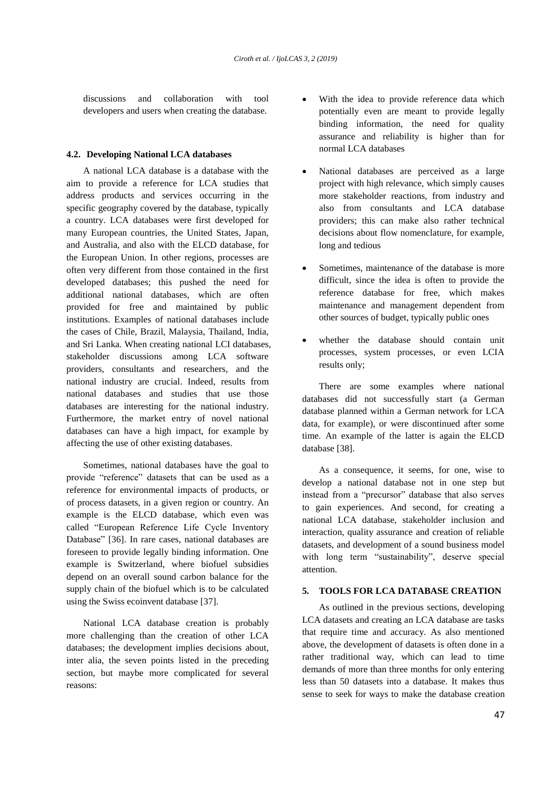discussions and collaboration with tool developers and users when creating the database.

#### **4.2. Developing National LCA databases**

A national LCA database is a database with the aim to provide a reference for LCA studies that address products and services occurring in the specific geography covered by the database, typically a country. LCA databases were first developed for many European countries, the United States, Japan, and Australia, and also with the ELCD database, for the European Union. In other regions, processes are often very different from those contained in the first developed databases; this pushed the need for additional national databases, which are often provided for free and maintained by public institutions. Examples of national databases include the cases of Chile, Brazil, Malaysia, Thailand, India, and Sri Lanka. When creating national LCI databases, stakeholder discussions among LCA software providers, consultants and researchers, and the national industry are crucial. Indeed, results from national databases and studies that use those databases are interesting for the national industry. Furthermore, the market entry of novel national databases can have a high impact, for example by affecting the use of other existing databases.

Sometimes, national databases have the goal to provide "reference" datasets that can be used as a reference for environmental impacts of products, or of process datasets, in a given region or country. An example is the ELCD database, which even was called "European Reference Life Cycle Inventory Database" [36]. In rare cases, national databases are foreseen to provide legally binding information. One example is Switzerland, where biofuel subsidies depend on an overall sound carbon balance for the supply chain of the biofuel which is to be calculated using the Swiss ecoinvent database [37].

National LCA database creation is probably more challenging than the creation of other LCA databases; the development implies decisions about, inter alia, the seven points listed in the preceding section, but maybe more complicated for several reasons:

- With the idea to provide reference data which potentially even are meant to provide legally binding information, the need for quality assurance and reliability is higher than for normal LCA databases
- National databases are perceived as a large project with high relevance, which simply causes more stakeholder reactions, from industry and also from consultants and LCA database providers; this can make also rather technical decisions about flow nomenclature, for example, long and tedious
- Sometimes, maintenance of the database is more difficult, since the idea is often to provide the reference database for free, which makes maintenance and management dependent from other sources of budget, typically public ones
- whether the database should contain unit processes, system processes, or even LCIA results only;

There are some examples where national databases did not successfully start (a German database planned within a German network for LCA data, for example), or were discontinued after some time. An example of the latter is again the ELCD database [38].

As a consequence, it seems, for one, wise to develop a national database not in one step but instead from a "precursor" database that also serves to gain experiences. And second, for creating a national LCA database, stakeholder inclusion and interaction, quality assurance and creation of reliable datasets, and development of a sound business model with long term "sustainability", deserve special attention.

## **5. TOOLS FOR LCA DATABASE CREATION**

As outlined in the previous sections, developing LCA datasets and creating an LCA database are tasks that require time and accuracy. As also mentioned above, the development of datasets is often done in a rather traditional way, which can lead to time demands of more than three months for only entering less than 50 datasets into a database. It makes thus sense to seek for ways to make the database creation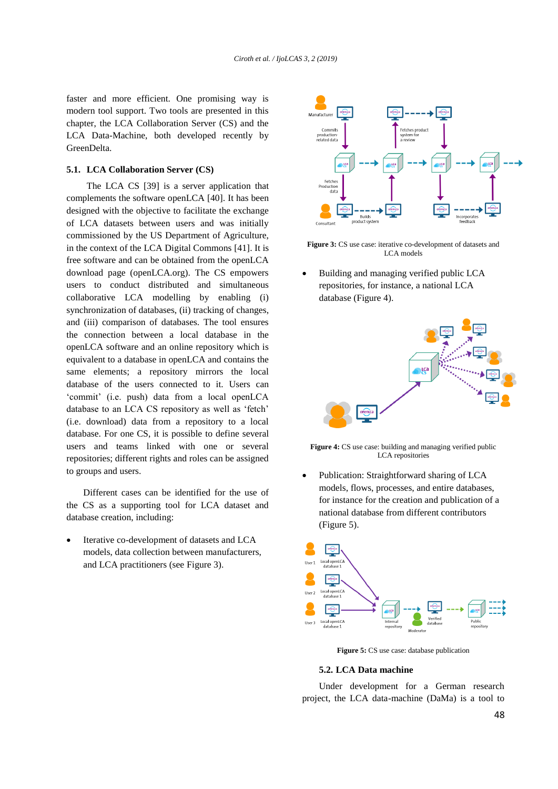faster and more efficient. One promising way is modern tool support. Two tools are presented in this chapter, the LCA Collaboration Server (CS) and the LCA Data-Machine, both developed recently by GreenDelta.

### <span id="page-7-0"></span>**5.1. LCA Collaboration Server (CS)**

The LCA CS [39] is a server application that complements the software openLCA [40]. It has been designed with the objective to facilitate the exchange of LCA datasets between users and was initially commissioned by the US Department of Agriculture, in the context of the LCA Digital Commons [41]. It is free software and can be obtained from the openLCA download page (openLCA.org). The CS empowers users to conduct distributed and simultaneous collaborative LCA modelling by enabling (i) synchronization of databases, (ii) tracking of changes, and (iii) comparison of databases. The tool ensures the connection between a local database in the openLCA software and an online repository which is equivalent to a database in openLCA and contains the same elements; a repository mirrors the local database of the users connected to it. Users can 'commit' (i.e. push) data from a local openLCA database to an LCA CS repository as well as 'fetch' (i.e. download) data from a repository to a local database. For one CS, it is possible to define several users and teams linked with one or several repositories; different rights and roles can be assigned to groups and users.

Different cases can be identified for the use of the CS as a supporting tool for LCA dataset and database creation, including:

 Iterative co-development of datasets and LCA models, data collection between manufacturers, and LCA practitioners (see [Figure 3\)](#page-7-1).



<span id="page-7-1"></span>**Figure 3:** CS use case: iterative co-development of datasets and LCA models

 Building and managing verified public LCA repositories, for instance, a national LCA database [\(Figure 4\)](#page-7-2).



<span id="page-7-2"></span>Figure 4: CS use case: building and managing verified public LCA repositories

 Publication: Straightforward sharing of LCA models, flows, processes, and entire databases, for instance for the creation and publication of a national database from different contributors [\(Figure 5\)](#page-7-3).



**Figure 5:** CS use case: database publication

#### <span id="page-7-3"></span>**5.2. LCA Data machine**

Under development for a German research project, the LCA data-machine (DaMa) is a tool to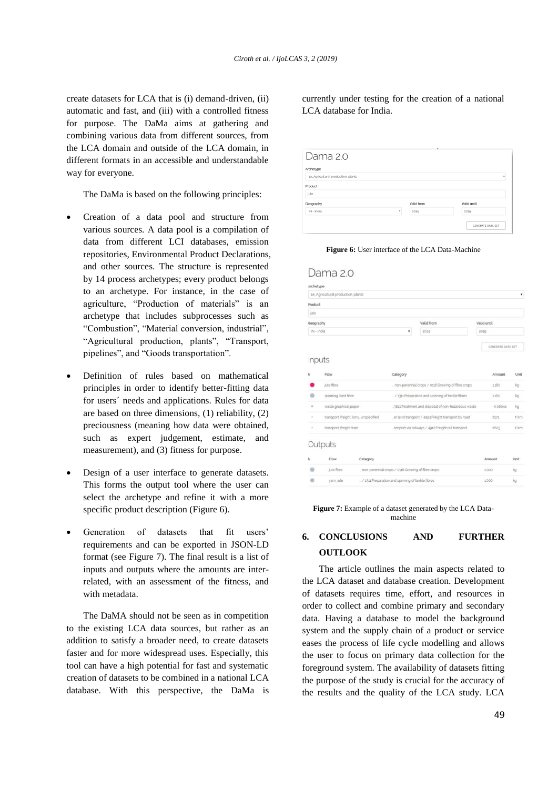create datasets for LCA that is (i) demand-driven, (ii) automatic and fast, and (iii) with a controlled fitness for purpose. The DaMa aims at gathering and combining various data from different sources, from the LCA domain and outside of the LCA domain, in different formats in an accessible and understandable way for everyone.

The DaMa is based on the following principles:

- Creation of a data pool and structure from various sources. A data pool is a compilation of data from different LCI databases, emission repositories, Environmental Product Declarations, and other sources. The structure is represented by 14 process archetypes; every product belongs to an archetype. For instance, in the case of agriculture, "Production of materials" is an archetype that includes subprocesses such as "Combustion", "Material conversion, industrial", "Agricultural production, plants", "Transport, pipelines", and "Goods transportation".
- Definition of rules based on mathematical principles in order to identify better-fitting data for users´ needs and applications. Rules for data are based on three dimensions, (1) reliability, (2) preciousness (meaning how data were obtained, such as expert judgement, estimate, and measurement), and (3) fitness for purpose.
- Design of a user interface to generate datasets. This forms the output tool where the user can select the archetype and refine it with a more specific product description [\(Figure 6\)](#page-8-0).
- Generation of datasets that fit users' requirements and can be exported in JSON-LD format (see [Figure 7\)](#page-8-1). The final result is a list of inputs and outputs where the amounts are interrelated, with an assessment of the fitness, and with metadata.

The DaMA should not be seen as in competition to the existing LCA data sources, but rather as an addition to satisfy a broader need, to create datasets faster and for more widespread uses. Especially, this tool can have a high potential for fast and systematic creation of datasets to be combined in a national LCA database. With this perspective, the DaMa is

currently under testing for the creation of a national LCA database for India.

| Dama 2.0                           |            |                          |
|------------------------------------|------------|--------------------------|
| Archetype                          |            |                          |
| 1e_Agricultural production, plants |            | ۰                        |
| Product                            |            |                          |
| jute                               |            |                          |
| Geography                          | Valid from | Valid until              |
| IN - India<br>٠                    | 2014       | 2019                     |
|                                    |            | <b>GENERATE DATA SET</b> |

**Figure 6:** User interface of the LCA Data-Machine

<span id="page-8-0"></span>

|            | 1e_Agricultural production, plants                             |                                                     |            |                                                    |      |                   | ٠                 |  |
|------------|----------------------------------------------------------------|-----------------------------------------------------|------------|----------------------------------------------------|------|-------------------|-------------------|--|
| Product    |                                                                |                                                     |            |                                                    |      |                   |                   |  |
| jute       |                                                                |                                                     |            |                                                    |      |                   |                   |  |
|            |                                                                |                                                     |            |                                                    |      |                   |                   |  |
| Geography  |                                                                |                                                     | Valid from |                                                    |      | Valid until       |                   |  |
| IN - India |                                                                |                                                     | ۰          | 2014                                               |      | 2010              |                   |  |
|            |                                                                |                                                     |            |                                                    |      | GENERATE DATA SET |                   |  |
|            | Inputs                                                         |                                                     |            |                                                    |      |                   |                   |  |
|            |                                                                |                                                     |            |                                                    |      |                   |                   |  |
| h          | Flow                                                           |                                                     | Category   |                                                    |      | Amount            | Unit              |  |
|            | jute fibre                                                     |                                                     |            | non-perennial crops / 0116 Growing of fibre crops  |      | 1160              | kg                |  |
|            | spinning, bast fibre                                           |                                                     |            | / 1311 Preparation and spinning of textile fibres  |      | 1160              | kg                |  |
| $\circ$    | waste graphical paper                                          |                                                     |            | 3821 Treatment and disposal of non-hazardous waste |      | $-0.08044$        | kg                |  |
| $\alpha$   |                                                                | transport, freight, lorry, unspecified              |            | er land transport / 4923 Freight transport by road |      | 8171              | t'km              |  |
| $\alpha$   | transport, freight train                                       |                                                     |            | ansport via railways / 4912 Freight rail transport |      | 6623              | t <sup>-</sup> km |  |
|            | Outputs                                                        |                                                     |            |                                                    |      |                   |                   |  |
| h          | Flow.                                                          | Category                                            |            |                                                    |      | Amount            | Unit              |  |
|            | jute fibre                                                     | _ non-perennial crops / 0116 Growing of fibre crops |            |                                                    |      | 1000              | kg                |  |
|            |                                                                |                                                     |            |                                                    |      |                   |                   |  |
|            | / 1311 Preparation and spinning of textile fibres<br>yam, jute |                                                     |            |                                                    | 1000 | kg                |                   |  |

<span id="page-8-1"></span>Figure 7: Example of a dataset generated by the LCA Datamachine

# **6. CONCLUSIONS AND FURTHER OUTLOOK**

The article outlines the main aspects related to the LCA dataset and database creation. Development of datasets requires time, effort, and resources in order to collect and combine primary and secondary data. Having a database to model the background system and the supply chain of a product or service eases the process of life cycle modelling and allows the user to focus on primary data collection for the foreground system. The availability of datasets fitting the purpose of the study is crucial for the accuracy of the results and the quality of the LCA study. LCA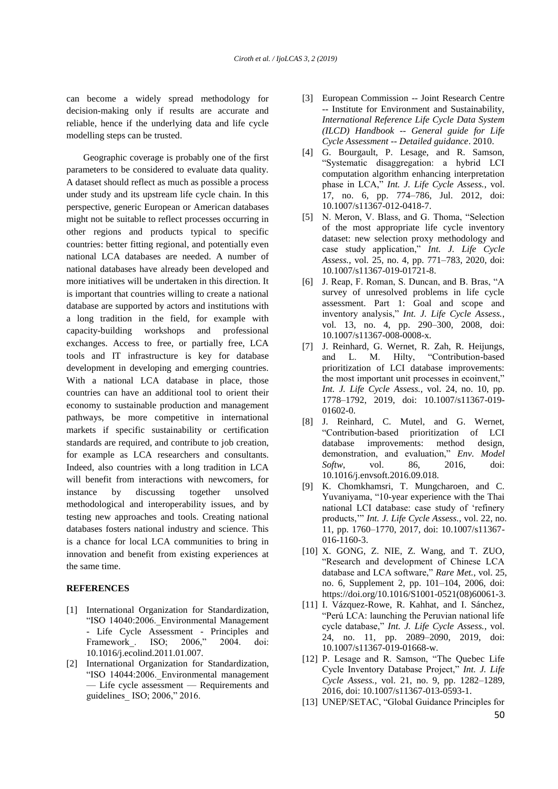can become a widely spread methodology for decision-making only if results are accurate and reliable, hence if the underlying data and life cycle modelling steps can be trusted.

Geographic coverage is probably one of the first parameters to be considered to evaluate data quality. A dataset should reflect as much as possible a process under study and its upstream life cycle chain. In this perspective, generic European or American databases might not be suitable to reflect processes occurring in other regions and products typical to specific countries: better fitting regional, and potentially even national LCA databases are needed. A number of national databases have already been developed and more initiatives will be undertaken in this direction. It is important that countries willing to create a national database are supported by actors and institutions with a long tradition in the field, for example with capacity-building workshops and professional exchanges. Access to free, or partially free, LCA tools and IT infrastructure is key for database development in developing and emerging countries. With a national LCA database in place, those countries can have an additional tool to orient their economy to sustainable production and management pathways, be more competitive in international markets if specific sustainability or certification standards are required, and contribute to job creation, for example as LCA researchers and consultants. Indeed, also countries with a long tradition in LCA will benefit from interactions with newcomers, for instance by discussing together unsolved methodological and interoperability issues, and by testing new approaches and tools. Creating national databases fosters national industry and science. This is a chance for local LCA communities to bring in innovation and benefit from existing experiences at the same time.

#### **REFERENCES**

- [1] International Organization for Standardization, "ISO 14040:2006. Environmental Management - Life Cycle Assessment - Principles and Framework . ISO; 2006," 2004. doi: 10.1016/j.ecolind.2011.01.007.
- [2] International Organization for Standardization, "ISO 14044:2006. Environmental management — Life cycle assessment — Requirements and guidelines\_ ISO; 2006," 2016.
- [3] European Commission -- Joint Research Centre -- Institute for Environment and Sustainability, *International Reference Life Cycle Data System (ILCD) Handbook -- General guide for Life Cycle Assessment -- Detailed guidance*. 2010.
- [4] G. Bourgault, P. Lesage, and R. Samson, "Systematic disaggregation: a hybrid LCI computation algorithm enhancing interpretation phase in LCA," *Int. J. Life Cycle Assess.*, vol. 17, no. 6, pp. 774–786, Jul. 2012, doi: 10.1007/s11367-012-0418-7.
- [5] N. Meron, V. Blass, and G. Thoma, "Selection of the most appropriate life cycle inventory dataset: new selection proxy methodology and case study application," *Int. J. Life Cycle Assess.*, vol. 25, no. 4, pp. 771–783, 2020, doi: 10.1007/s11367-019-01721-8.
- [6] J. Reap, F. Roman, S. Duncan, and B. Bras, "A survey of unresolved problems in life cycle assessment. Part 1: Goal and scope and inventory analysis," *Int. J. Life Cycle Assess.*, vol. 13, no. 4, pp. 290–300, 2008, doi: 10.1007/s11367-008-0008-x.
- [7] J. Reinhard, G. Wernet, R. Zah, R. Heijungs, and L. M. Hilty, "Contribution-based prioritization of LCI database improvements: the most important unit processes in ecoinvent," *Int. J. Life Cycle Assess.*, vol. 24, no. 10, pp. 1778–1792, 2019, doi: 10.1007/s11367-019- 01602-0.
- [8] J. Reinhard, C. Mutel, and G. Wernet, "Contribution-based prioritization of LCI database improvements: method design, demonstration, and evaluation," *Env. Model Softw*, vol. 86, 2016, doi: 10.1016/j.envsoft.2016.09.018.
- [9] K. Chomkhamsri, T. Mungcharoen, and C. Yuvaniyama, "10-year experience with the Thai national LCI database: case study of 'refinery products,'" *Int. J. Life Cycle Assess.*, vol. 22, no. 11, pp. 1760–1770, 2017, doi: 10.1007/s11367- 016-1160-3.
- [10] X. GONG, Z. NIE, Z. Wang, and T. ZUO, "Research and development of Chinese LCA database and LCA software," *Rare Met.*, vol. 25, no. 6, Supplement 2, pp. 101–104, 2006, doi: https://doi.org/10.1016/S1001-0521(08)60061-3.
- [11] I. Vázquez-Rowe, R. Kahhat, and I. Sánchez, "Perú LCA: launching the Peruvian national life cycle database," *Int. J. Life Cycle Assess.*, vol. 24, no. 11, pp. 2089–2090, 2019, doi: 10.1007/s11367-019-01668-w.
- [12] P. Lesage and R. Samson, "The Quebec Life Cycle Inventory Database Project," *Int. J. Life Cycle Assess.*, vol. 21, no. 9, pp. 1282–1289, 2016, doi: 10.1007/s11367-013-0593-1.
- [13] UNEP/SETAC, "Global Guidance Principles for